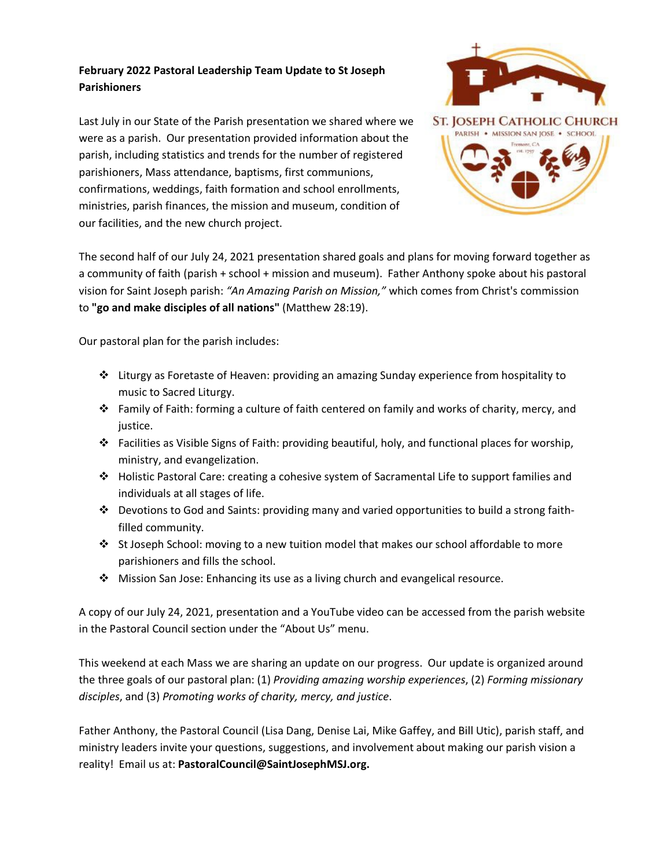## **February 2022 Pastoral Leadership Team Update to St Joseph Parishioners**

Last July in our State of the Parish presentation we shared where we were as a parish. Our presentation provided information about the parish, including statistics and trends for the number of registered parishioners, Mass attendance, baptisms, first communions, confirmations, weddings, faith formation and school enrollments, ministries, parish finances, the mission and museum, condition of our facilities, and the new church project.



The second half of our July 24, 2021 presentation shared goals and plans for moving forward together as a community of faith (parish + school + mission and museum). Father Anthony spoke about his pastoral vision for Saint Joseph parish: *"An Amazing Parish on Mission,"* which comes from Christ's commission to **"go and make disciples of all nations"** (Matthew 28:19).

Our pastoral plan for the parish includes:

- $\cdot \cdot$  Liturgy as Foretaste of Heaven: providing an amazing Sunday experience from hospitality to music to Sacred Liturgy.
- Family of Faith: forming a culture of faith centered on family and works of charity, mercy, and justice.
- $\cdot \cdot$  Facilities as Visible Signs of Faith: providing beautiful, holy, and functional places for worship, ministry, and evangelization.
- Holistic Pastoral Care: creating a cohesive system of Sacramental Life to support families and individuals at all stages of life.
- Devotions to God and Saints: providing many and varied opportunities to build a strong faithfilled community.
- St Joseph School: moving to a new tuition model that makes our school affordable to more parishioners and fills the school.
- Mission San Jose: Enhancing its use as a living church and evangelical resource.

A copy of our July 24, 2021, presentation and a YouTube video can be accessed from the parish website in the Pastoral Council section under the "About Us" menu.

This weekend at each Mass we are sharing an update on our progress. Our update is organized around the three goals of our pastoral plan: (1) *Providing amazing worship experiences*, (2) *Forming missionary disciples*, and (3) *Promoting works of charity, mercy, and justice*.

Father Anthony, the Pastoral Council (Lisa Dang, Denise Lai, Mike Gaffey, and Bill Utic), parish staff, and ministry leaders invite your questions, suggestions, and involvement about making our parish vision a reality! Email us at: **PastoralCouncil@SaintJosephMSJ.org.**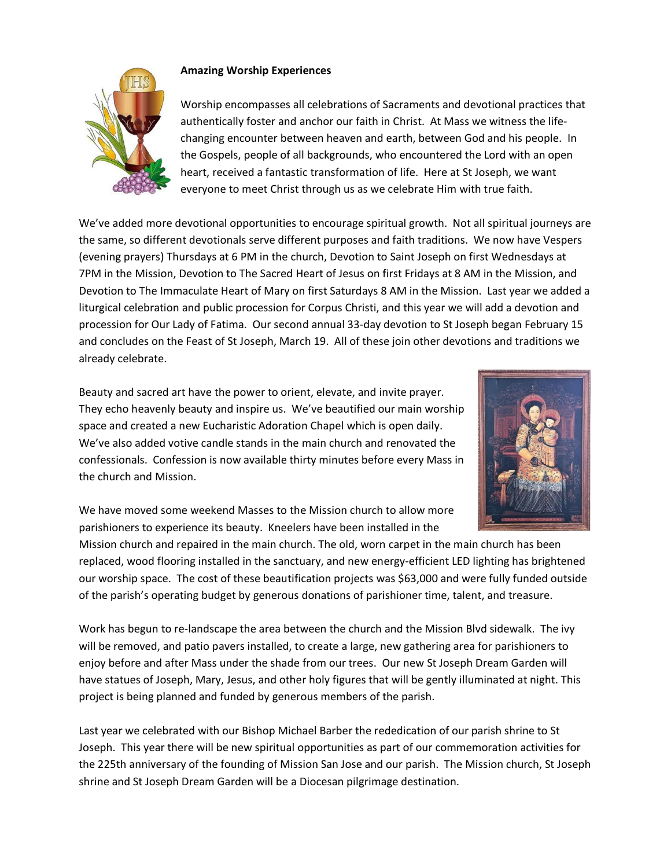

## **Amazing Worship Experiences**

Worship encompasses all celebrations of Sacraments and devotional practices that authentically foster and anchor our faith in Christ. At Mass we witness the lifechanging encounter between heaven and earth, between God and his people. In the Gospels, people of all backgrounds, who encountered the Lord with an open heart, received a fantastic transformation of life. Here at St Joseph, we want everyone to meet Christ through us as we celebrate Him with true faith.

We've added more devotional opportunities to encourage spiritual growth. Not all spiritual journeys are the same, so different devotionals serve different purposes and faith traditions. We now have Vespers (evening prayers) Thursdays at 6 PM in the church, Devotion to Saint Joseph on first Wednesdays at 7PM in the Mission, Devotion to The Sacred Heart of Jesus on first Fridays at 8 AM in the Mission, and Devotion to The Immaculate Heart of Mary on first Saturdays 8 AM in the Mission. Last year we added a liturgical celebration and public procession for Corpus Christi, and this year we will add a devotion and procession for Our Lady of Fatima. Our second annual 33-day devotion to St Joseph began February 15 and concludes on the Feast of St Joseph, March 19. All of these join other devotions and traditions we already celebrate.

Beauty and sacred art have the power to orient, elevate, and invite prayer. They echo heavenly beauty and inspire us. We've beautified our main worship space and created a new Eucharistic Adoration Chapel which is open daily. We've also added votive candle stands in the main church and renovated the confessionals. Confession is now available thirty minutes before every Mass in the church and Mission.



We have moved some weekend Masses to the Mission church to allow more parishioners to experience its beauty. Kneelers have been installed in the

Mission church and repaired in the main church. The old, worn carpet in the main church has been replaced, wood flooring installed in the sanctuary, and new energy-efficient LED lighting has brightened our worship space. The cost of these beautification projects was \$63,000 and were fully funded outside of the parish's operating budget by generous donations of parishioner time, talent, and treasure.

Work has begun to re-landscape the area between the church and the Mission Blvd sidewalk. The ivy will be removed, and patio pavers installed, to create a large, new gathering area for parishioners to enjoy before and after Mass under the shade from our trees. Our new St Joseph Dream Garden will have statues of Joseph, Mary, Jesus, and other holy figures that will be gently illuminated at night. This project is being planned and funded by generous members of the parish.

Last year we celebrated with our Bishop Michael Barber the rededication of our parish shrine to St Joseph. This year there will be new spiritual opportunities as part of our commemoration activities for the 225th anniversary of the founding of Mission San Jose and our parish. The Mission church, St Joseph shrine and St Joseph Dream Garden will be a Diocesan pilgrimage destination.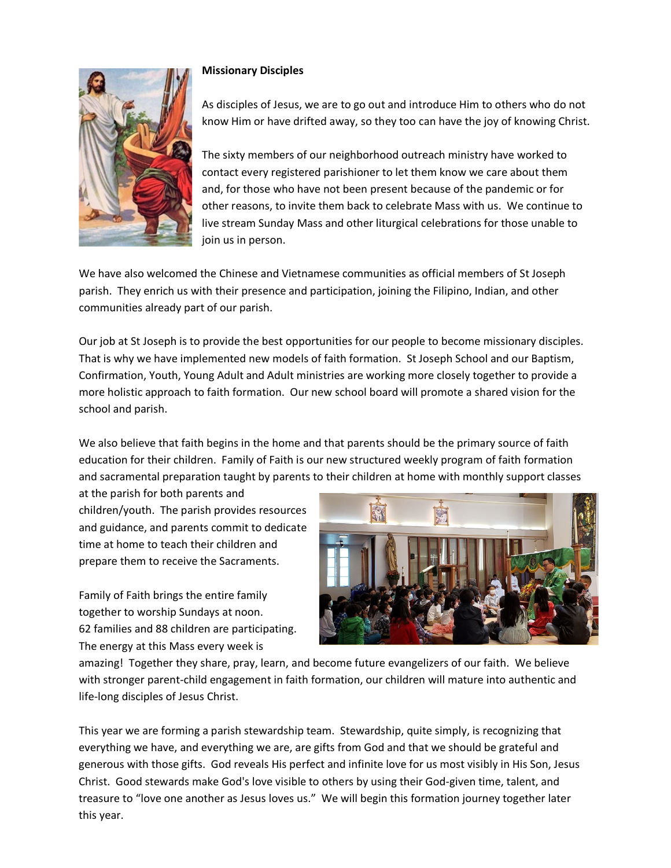

## **Missionary Disciples**

As disciples of Jesus, we are to go out and introduce Him to others who do not know Him or have drifted away, so they too can have the joy of knowing Christ.

The sixty members of our neighborhood outreach ministry have worked to contact every registered parishioner to let them know we care about them and, for those who have not been present because of the pandemic or for other reasons, to invite them back to celebrate Mass with us. We continue to live stream Sunday Mass and other liturgical celebrations for those unable to join us in person.

We have also welcomed the Chinese and Vietnamese communities as official members of St Joseph parish. They enrich us with their presence and participation, joining the Filipino, Indian, and other communities already part of our parish.

Our job at St Joseph is to provide the best opportunities for our people to become missionary disciples. That is why we have implemented new models of faith formation. St Joseph School and our Baptism, Confirmation, Youth, Young Adult and Adult ministries are working more closely together to provide a more holistic approach to faith formation. Our new school board will promote a shared vision for the school and parish.

We also believe that faith begins in the home and that parents should be the primary source of faith education for their children. Family of Faith is our new structured weekly program of faith formation and sacramental preparation taught by parents to their children at home with monthly support classes

at the parish for both parents and children/youth. The parish provides resources and guidance, and parents commit to dedicate time at home to teach their children and prepare them to receive the Sacraments.

Family of Faith brings the entire family together to worship Sundays at noon. 62 families and 88 children are participating. The energy at this Mass every week is



amazing! Together they share, pray, learn, and become future evangelizers of our faith. We believe with stronger parent-child engagement in faith formation, our children will mature into authentic and life-long disciples of Jesus Christ.

This year we are forming a parish stewardship team. Stewardship, quite simply, is recognizing that everything we have, and everything we are, are gifts from God and that we should be grateful and generous with those gifts. God reveals His perfect and infinite love for us most visibly in His Son, Jesus Christ. Good stewards make God's love visible to others by using their God-given time, talent, and treasure to "love one another as Jesus loves us." We will begin this formation journey together later this year.